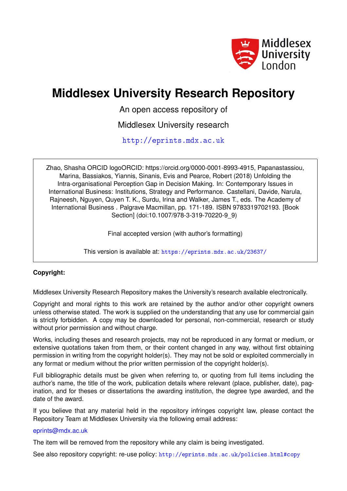

# **Middlesex University Research Repository**

An open access repository of

Middlesex University research

<http://eprints.mdx.ac.uk>

Zhao, Shasha ORCID logoORCID: https://orcid.org/0000-0001-8993-4915, Papanastassiou, Marina, Bassiakos, Yiannis, Sinanis, Evis and Pearce, Robert (2018) Unfolding the Intra-organisational Perception Gap in Decision Making. In: Contemporary Issues in International Business: Institutions, Strategy and Performance. Castellani, Davide, Narula, Rajneesh, Nguyen, Quyen T. K., Surdu, Irina and Walker, James T., eds. The Academy of International Business . Palgrave Macmillan, pp. 171-189. ISBN 9783319702193. [Book Section] (doi:10.1007/978-3-319-70220-9\_9)

Final accepted version (with author's formatting)

This version is available at: <https://eprints.mdx.ac.uk/23637/>

# **Copyright:**

Middlesex University Research Repository makes the University's research available electronically.

Copyright and moral rights to this work are retained by the author and/or other copyright owners unless otherwise stated. The work is supplied on the understanding that any use for commercial gain is strictly forbidden. A copy may be downloaded for personal, non-commercial, research or study without prior permission and without charge.

Works, including theses and research projects, may not be reproduced in any format or medium, or extensive quotations taken from them, or their content changed in any way, without first obtaining permission in writing from the copyright holder(s). They may not be sold or exploited commercially in any format or medium without the prior written permission of the copyright holder(s).

Full bibliographic details must be given when referring to, or quoting from full items including the author's name, the title of the work, publication details where relevant (place, publisher, date), pagination, and for theses or dissertations the awarding institution, the degree type awarded, and the date of the award.

If you believe that any material held in the repository infringes copyright law, please contact the Repository Team at Middlesex University via the following email address:

#### [eprints@mdx.ac.uk](mailto:eprints@mdx.ac.uk)

The item will be removed from the repository while any claim is being investigated.

See also repository copyright: re-use policy: <http://eprints.mdx.ac.uk/policies.html#copy>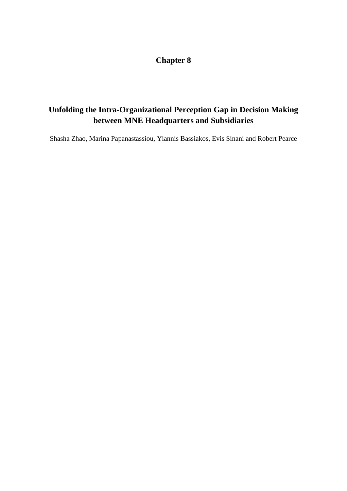# **Chapter 8**

# **Unfolding the Intra-Organizational Perception Gap in Decision Making between MNE Headquarters and Subsidiaries**

Shasha Zhao, Marina Papanastassiou, Yiannis Bassiakos, Evis Sinani and Robert Pearce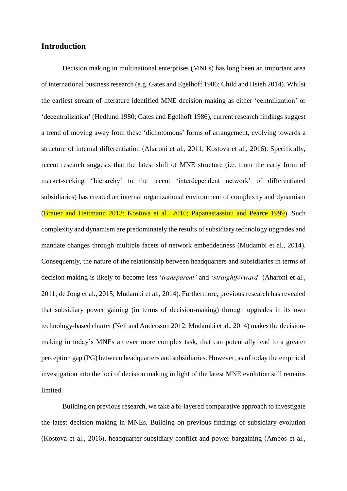# **Introduction**

Decision making in multinational enterprises (MNEs) has long been an important area of international business research (e.g. Gates and Egelhoff 1986; Child and Hsieh 2014). Whilst the earliest stream of literature identified MNE decision making as either 'centralization' or 'decentralization' (Hedlund 1980; Gates and Egelhoff 1986), current research findings suggest a trend of moving away from these 'dichotomous' forms of arrangement, evolving towards a structure of internal differentiation (Aharoni et al., 2011; Kostova et al., 2016). Specifically, recent research suggests that the latest shift of MNE structure (i.e. from the early form of market-seeking ''hierarchy' to the recent 'interdependent network' of differentiated subsidiaries) has created an internal organizational environment of complexity and dynamism (Brauer and Heitmann 2013; Kostova et al., 2016; Papanastassiou and Pearce 1999). Such complexity and dynamism are predominately the results of subsidiary technology upgrades and mandate changes through multiple facets of network embeddedness (Mudambi et al., 2014). Consequently, the nature of the relationship between headquarters and subsidiaries in terms of decision making is likely to become less '*transparent'* and '*straightforward'* (Aharoni et al., 2011; de Jong et al., 2015; Mudambi et al., 2014). Furthermore, previous research has revealed that subsidiary power gaining (in terms of decision-making) through upgrades in its own technology-based charter (Nell and Andersson 2012; Mudambi et al., 2014) makes the decisionmaking in today's MNEs an ever more complex task, that can potentially lead to a greater perception gap (PG) between headquarters and subsidiaries. However, as of today the empirical investigation into the loci of decision making in light of the latest MNE evolution still remains limited.

Building on previous research, we take a bi-layered comparative approach to investigate the latest decision making in MNEs. Building on previous findings of subsidiary evolution (Kostova et al., 2016), headquarter-subsidiary conflict and power bargaining (Ambos et al.,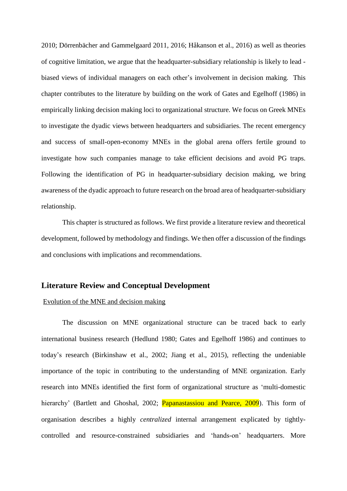2010; Dörrenbächer and Gammelgaard 2011, 2016; Håkanson et al., 2016) as well as theories of cognitive limitation, we argue that the headquarter-subsidiary relationship is likely to lead biased views of individual managers on each other's involvement in decision making. This chapter contributes to the literature by building on the work of Gates and Egelhoff (1986) in empirically linking decision making loci to organizational structure. We focus on Greek MNEs to investigate the dyadic views between headquarters and subsidiaries. The recent emergency and success of small-open-economy MNEs in the global arena offers fertile ground to investigate how such companies manage to take efficient decisions and avoid PG traps. Following the identification of PG in headquarter-subsidiary decision making, we bring awareness of the dyadic approach to future research on the broad area of headquarter-subsidiary relationship.

This chapter is structured as follows. We first provide a literature review and theoretical development, followed by methodology and findings. We then offer a discussion of the findings and conclusions with implications and recommendations.

# **Literature Review and Conceptual Development**

#### Evolution of the MNE and decision making

The discussion on MNE organizational structure can be traced back to early international business research (Hedlund 1980; Gates and Egelhoff 1986) and continues to today's research (Birkinshaw et al., 2002; Jiang et al., 2015), reflecting the undeniable importance of the topic in contributing to the understanding of MNE organization. Early research into MNEs identified the first form of organizational structure as 'multi-domestic hierarchy' (Bartlett and Ghoshal, 2002; Papanastassiou and Pearce, 2009). This form of organisation describes a highly *centralized* internal arrangement explicated by tightlycontrolled and resource-constrained subsidiaries and 'hands-on' headquarters. More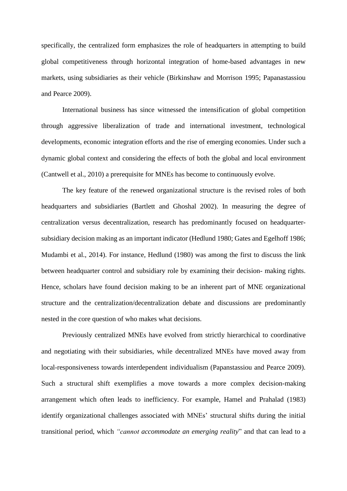specifically, the centralized form emphasizes the role of headquarters in attempting to build global competitiveness through horizontal integration of home-based advantages in new markets, using subsidiaries as their vehicle (Birkinshaw and Morrison 1995; Papanastassiou and Pearce 2009).

International business has since witnessed the intensification of global competition through aggressive liberalization of trade and international investment, technological developments, economic integration efforts and the rise of emerging economies. Under such a dynamic global context and considering the effects of both the global and local environment (Cantwell et al., 2010) a prerequisite for MNEs has become to continuously evolve.

The key feature of the renewed organizational structure is the revised roles of both headquarters and subsidiaries (Bartlett and Ghoshal 2002). In measuring the degree of centralization versus decentralization, research has predominantly focused on headquartersubsidiary decision making as an important indicator (Hedlund 1980; Gates and Egelhoff 1986; Mudambi et al., 2014). For instance, Hedlund (1980) was among the first to discuss the link between headquarter control and subsidiary role by examining their decision- making rights. Hence, scholars have found decision making to be an inherent part of MNE organizational structure and the centralization/decentralization debate and discussions are predominantly nested in the core question of who makes what decisions.

Previously centralized MNEs have evolved from strictly hierarchical to coordinative and negotiating with their subsidiaries, while decentralized MNEs have moved away from local-responsiveness towards interdependent individualism (Papanstassiou and Pearce 2009). Such a structural shift exemplifies a move towards a more complex decision-making arrangement which often leads to inefficiency. For example, Hamel and Prahalad (1983) identify organizational challenges associated with MNEs' structural shifts during the initial transitional period, which *"cannot accommodate an emerging reality*" and that can lead to a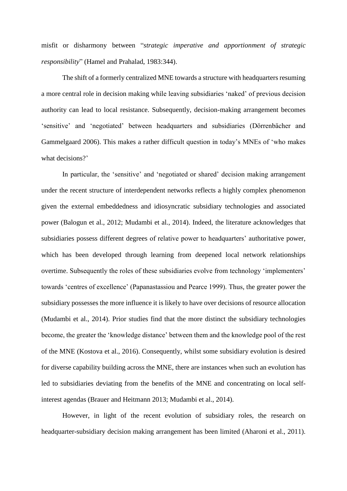misfit or disharmony between "*strategic imperative and apportionment of strategic responsibility*" (Hamel and Prahalad, 1983:344).

The shift of a formerly centralized MNE towards a structure with headquarters resuming a more central role in decision making while leaving subsidiaries 'naked' of previous decision authority can lead to local resistance. Subsequently, decision-making arrangement becomes 'sensitive' and 'negotiated' between headquarters and subsidiaries (Dörrenbächer and Gammelgaard 2006). This makes a rather difficult question in today's MNEs of 'who makes what decisions?'

In particular, the 'sensitive' and 'negotiated or shared' decision making arrangement under the recent structure of interdependent networks reflects a highly complex phenomenon given the external embeddedness and idiosyncratic subsidiary technologies and associated power (Balogun et al., 2012; Mudambi et al., 2014). Indeed, the literature acknowledges that subsidiaries possess different degrees of relative power to headquarters' authoritative power, which has been developed through learning from deepened local network relationships overtime. Subsequently the roles of these subsidiaries evolve from technology 'implementers' towards 'centres of excellence' (Papanastassiou and Pearce 1999). Thus, the greater power the subsidiary possesses the more influence it is likely to have over decisions of resource allocation (Mudambi et al., 2014). Prior studies find that the more distinct the subsidiary technologies become, the greater the 'knowledge distance' between them and the knowledge pool of the rest of the MNE (Kostova et al., 2016). Consequently, whilst some subsidiary evolution is desired for diverse capability building across the MNE, there are instances when such an evolution has led to subsidiaries deviating from the benefits of the MNE and concentrating on local selfinterest agendas (Brauer and Heitmann 2013; Mudambi et al., 2014).

However, in light of the recent evolution of subsidiary roles, the research on headquarter-subsidiary decision making arrangement has been limited (Aharoni et al., 2011).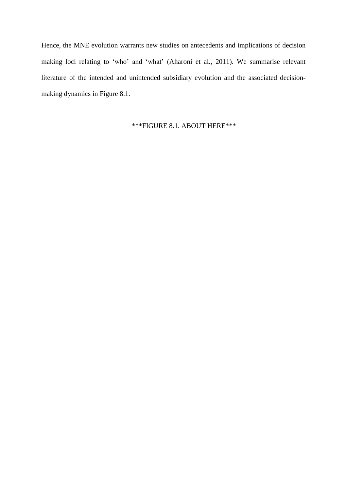Hence, the MNE evolution warrants new studies on antecedents and implications of decision making loci relating to 'who' and 'what' (Aharoni et al., 2011). We summarise relevant literature of the intended and unintended subsidiary evolution and the associated decisionmaking dynamics in Figure 8.1.

\*\*\*FIGURE 8.1. ABOUT HERE\*\*\*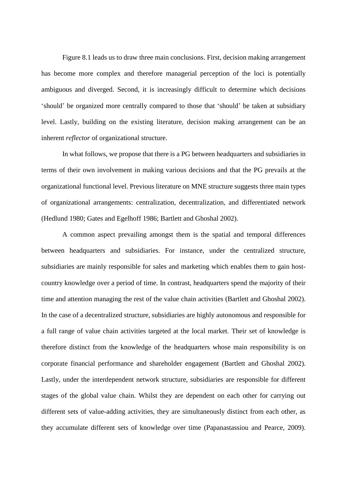Figure 8.1 leads us to draw three main conclusions. First, decision making arrangement has become more complex and therefore managerial perception of the loci is potentially ambiguous and diverged. Second, it is increasingly difficult to determine which decisions 'should' be organized more centrally compared to those that 'should' be taken at subsidiary level. Lastly, building on the existing literature, decision making arrangement can be an inherent *reflector* of organizational structure.

In what follows, we propose that there is a PG between headquarters and subsidiaries in terms of their own involvement in making various decisions and that the PG prevails at the organizational functional level. Previous literature on MNE structure suggests three main types of organizational arrangements: centralization, decentralization, and differentiated network (Hedlund 1980; Gates and Egelhoff 1986; Bartlett and Ghoshal 2002).

A common aspect prevailing amongst them is the spatial and temporal differences between headquarters and subsidiaries. For instance, under the centralized structure, subsidiaries are mainly responsible for sales and marketing which enables them to gain hostcountry knowledge over a period of time. In contrast, headquarters spend the majority of their time and attention managing the rest of the value chain activities (Bartlett and Ghoshal 2002). In the case of a decentralized structure, subsidiaries are highly autonomous and responsible for a full range of value chain activities targeted at the local market. Their set of knowledge is therefore distinct from the knowledge of the headquarters whose main responsibility is on corporate financial performance and shareholder engagement (Bartlett and Ghoshal 2002). Lastly, under the interdependent network structure, subsidiaries are responsible for different stages of the global value chain. Whilst they are dependent on each other for carrying out different sets of value-adding activities, they are simultaneously distinct from each other, as they accumulate different sets of knowledge over time (Papanastassiou and Pearce, 2009).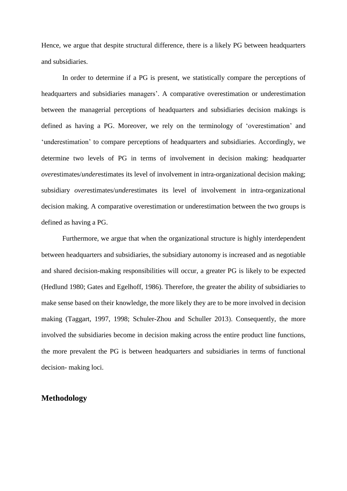Hence, we argue that despite structural difference, there is a likely PG between headquarters and subsidiaries.

In order to determine if a PG is present, we statistically compare the perceptions of headquarters and subsidiaries managers'. A comparative overestimation or underestimation between the managerial perceptions of headquarters and subsidiaries decision makings is defined as having a PG. Moreover, we rely on the terminology of 'overestimation' and 'underestimation' to compare perceptions of headquarters and subsidiaries. Accordingly, we determine two levels of PG in terms of involvement in decision making: headquarter *over*estimates/*under*estimates its level of involvement in intra-organizational decision making; subsidiary *over*estimates/*under*estimates its level of involvement in intra-organizational decision making. A comparative overestimation or underestimation between the two groups is defined as having a PG.

Furthermore, we argue that when the organizational structure is highly interdependent between headquarters and subsidiaries, the subsidiary autonomy is increased and as negotiable and shared decision-making responsibilities will occur, a greater PG is likely to be expected (Hedlund 1980; Gates and Egelhoff, 1986). Therefore, the greater the ability of subsidiaries to make sense based on their knowledge, the more likely they are to be more involved in decision making (Taggart, 1997, 1998; Schuler-Zhou and Schuller 2013). Consequently, the more involved the subsidiaries become in decision making across the entire product line functions, the more prevalent the PG is between headquarters and subsidiaries in terms of functional decision- making loci.

### **Methodology**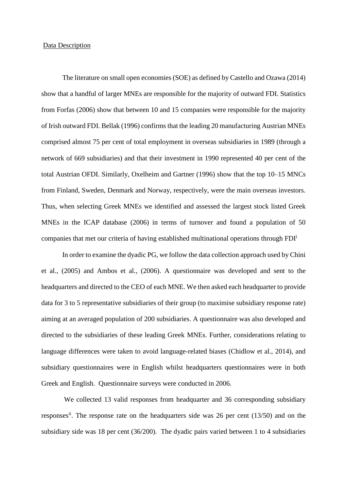#### Data Description

The literature on small open economies (SOE) as defined by Castello and Ozawa (2014) show that a handful of larger MNEs are responsible for the majority of outward FDI. Statistics from Forfas (2006) show that between 10 and 15 companies were responsible for the majority of Irish outward FDI. Bellak (1996) confirms that the leading 20 manufacturing Austrian MNEs comprised almost 75 per cent of total employment in overseas subsidiaries in 1989 (through a network of 669 subsidiaries) and that their investment in 1990 represented 40 per cent of the total Austrian OFDI. Similarly, Oxelheim and Gartner (1996) show that the top 10–15 MNCs from Finland, Sweden, Denmark and Norway, respectively, were the main overseas investors. Thus, when selecting Greek MNEs we identified and assessed the largest stock listed Greek MNEs in the ICAP database (2006) in terms of turnover and found a population of 50 companies that met our criteria of having established multinational operations through FDI<sup>i</sup>

In order to examine the dyadic PG, we follow the data collection approach used by Chini et al., (2005) and Ambos et al., (2006). A questionnaire was developed and sent to the headquarters and directed to the CEO of each MNE. We then asked each headquarter to provide data for 3 to 5 representative subsidiaries of their group (to maximise subsidiary response rate) aiming at an averaged population of 200 subsidiaries. A questionnaire was also developed and directed to the subsidiaries of these leading Greek MNEs. Further, considerations relating to language differences were taken to avoid language-related biases (Chidlow et al., 2014), and subsidiary questionnaires were in English whilst headquarters questionnaires were in both Greek and English. Questionnaire surveys were conducted in 2006.

We collected 13 valid responses from headquarter and 36 corresponding subsidiary responses<sup>ii</sup>. The response rate on the headquarters side was 26 per cent (13/50) and on the subsidiary side was 18 per cent (36/200). The dyadic pairs varied between 1 to 4 subsidiaries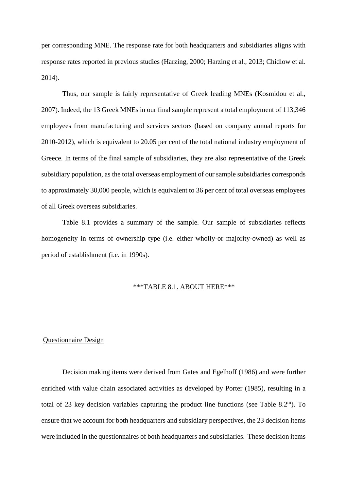per corresponding MNE. The response rate for both headquarters and subsidiaries aligns with response rates reported in previous studies (Harzing, 2000; Harzing et al., 2013; Chidlow et al. 2014).

Thus, our sample is fairly representative of Greek leading MNEs (Kosmidou et al., 2007). Indeed, the 13 Greek MNEs in our final sample represent a total employment of 113,346 employees from manufacturing and services sectors (based on company annual reports for 2010-2012), which is equivalent to 20.05 per cent of the total national industry employment of Greece. In terms of the final sample of subsidiaries, they are also representative of the Greek subsidiary population, as the total overseas employment of our sample subsidiaries corresponds to approximately 30,000 people, which is equivalent to 36 per cent of total overseas employees of all Greek overseas subsidiaries.

Table 8.1 provides a summary of the sample. Our sample of subsidiaries reflects homogeneity in terms of ownership type (i.e. either wholly-or majority-owned) as well as period of establishment (i.e. in 1990s).

#### \*\*\*TABLE 8.1. ABOUT HERE\*\*\*

#### Questionnaire Design

Decision making items were derived from Gates and Egelhoff (1986) and were further enriched with value chain associated activities as developed by Porter (1985), resulting in a total of 23 key decision variables capturing the product line functions (see Table 8.2<sup>iii</sup>). To ensure that we account for both headquarters and subsidiary perspectives, the 23 decision items were included in the questionnaires of both headquarters and subsidiaries. These decision items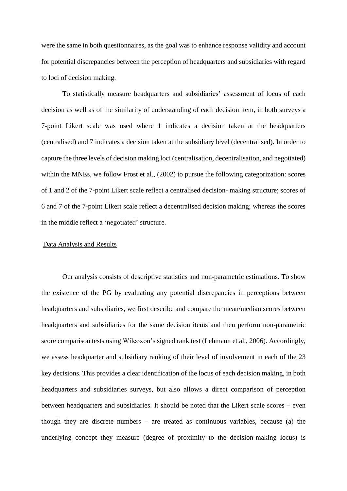were the same in both questionnaires, as the goal was to enhance response validity and account for potential discrepancies between the perception of headquarters and subsidiaries with regard to loci of decision making.

To statistically measure headquarters and subsidiaries' assessment of locus of each decision as well as of the similarity of understanding of each decision item, in both surveys a 7-point Likert scale was used where 1 indicates a decision taken at the headquarters (centralised) and 7 indicates a decision taken at the subsidiary level (decentralised). In order to capture the three levels of decision making loci (centralisation, decentralisation, and negotiated) within the MNEs, we follow Frost et al., (2002) to pursue the following categorization: scores of 1 and 2 of the 7-point Likert scale reflect a centralised decision- making structure; scores of 6 and 7 of the 7-point Likert scale reflect a decentralised decision making; whereas the scores in the middle reflect a 'negotiated' structure.

#### Data Analysis and Results

Our analysis consists of descriptive statistics and non-parametric estimations. To show the existence of the PG by evaluating any potential discrepancies in perceptions between headquarters and subsidiaries, we first describe and compare the mean/median scores between headquarters and subsidiaries for the same decision items and then perform non-parametric score comparison tests using Wilcoxon's signed rank test (Lehmann et al., 2006). Accordingly, we assess headquarter and subsidiary ranking of their level of involvement in each of the 23 key decisions. This provides a clear identification of the locus of each decision making, in both headquarters and subsidiaries surveys, but also allows a direct comparison of perception between headquarters and subsidiaries. It should be noted that the Likert scale scores – even though they are discrete numbers – are treated as continuous variables, because (a) the underlying concept they measure (degree of proximity to the decision-making locus) is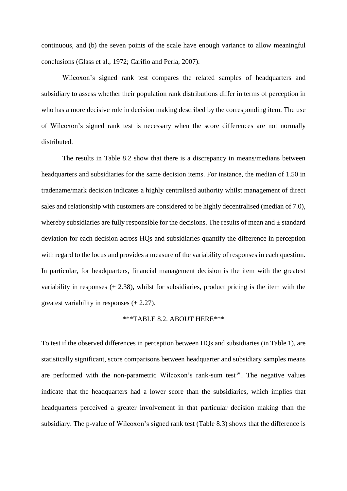continuous, and (b) the seven points of the scale have enough variance to allow meaningful conclusions (Glass et al., 1972; Carifio and Perla, 2007).

Wilcoxon's signed rank test compares the related samples of headquarters and subsidiary to assess whether their population rank distributions differ in terms of perception in who has a more decisive role in decision making described by the corresponding item. The use of Wilcoxon's signed rank test is necessary when the score differences are not normally distributed.

The results in Table 8.2 show that there is a discrepancy in means/medians between headquarters and subsidiaries for the same decision items. For instance, the median of 1.50 in tradename/mark decision indicates a highly centralised authority whilst management of direct sales and relationship with customers are considered to be highly decentralised (median of 7.0), whereby subsidiaries are fully responsible for the decisions. The results of mean and  $\pm$  standard deviation for each decision across HQs and subsidiaries quantify the difference in perception with regard to the locus and provides a measure of the variability of responses in each question. In particular, for headquarters, financial management decision is the item with the greatest variability in responses  $(\pm 2.38)$ , whilst for subsidiaries, product pricing is the item with the greatest variability in responses  $(\pm 2.27)$ .

### \*\*\*TABLE 8.2. ABOUT HERE\*\*\*

To test if the observed differences in perception between HQs and subsidiaries (in Table 1), are statistically significant, score comparisons between headquarter and subsidiary samples means are performed with the non-parametric Wilcoxon's rank-sum test <sup>iv</sup>. The negative values indicate that the headquarters had a lower score than the subsidiaries, which implies that headquarters perceived a greater involvement in that particular decision making than the subsidiary. The p-value of Wilcoxon's signed rank test (Table 8.3) shows that the difference is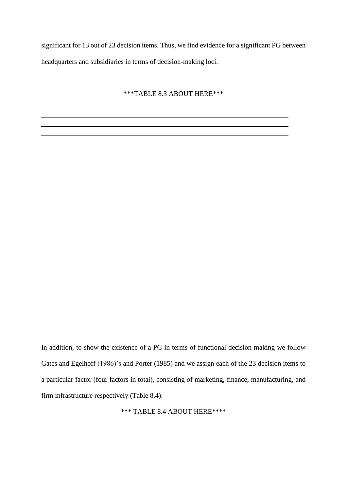significant for 13 out of 23 decision items. Thus, we find evidence for a significant PG between headquarters and subsidiaries in terms of decision-making loci.

\*\*\*TABLE 8.3 ABOUT HERE\*\*\*

In addition, to show the existence of a PG in terms of functional decision making we follow Gates and Egelhoff (1986)'s and Porter (1985) and we assign each of the 23 decision items to a particular factor (four factors in total), consisting of marketing, finance, manufacturing, and firm infrastructure respectively (Table 8.4).

\*\*\* TABLE 8.4 ABOUT HERE\*\*\*\*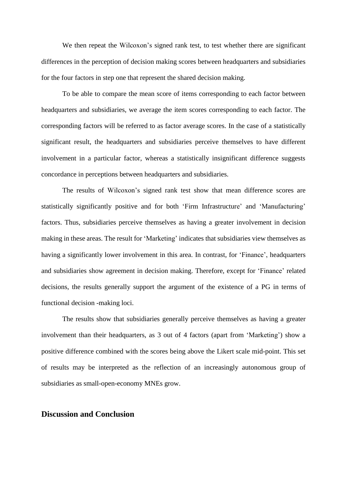We then repeat the Wilcoxon's signed rank test, to test whether there are significant differences in the perception of decision making scores between headquarters and subsidiaries for the four factors in step one that represent the shared decision making.

To be able to compare the mean score of items corresponding to each factor between headquarters and subsidiaries, we average the item scores corresponding to each factor. The corresponding factors will be referred to as factor average scores. In the case of a statistically significant result, the headquarters and subsidiaries perceive themselves to have different involvement in a particular factor, whereas a statistically insignificant difference suggests concordance in perceptions between headquarters and subsidiaries.

The results of Wilcoxon's signed rank test show that mean difference scores are statistically significantly positive and for both 'Firm Infrastructure' and 'Manufacturing' factors. Thus, subsidiaries perceive themselves as having a greater involvement in decision making in these areas. The result for 'Marketing' indicates that subsidiaries view themselves as having a significantly lower involvement in this area. In contrast, for 'Finance', headquarters and subsidiaries show agreement in decision making. Therefore, except for 'Finance' related decisions, the results generally support the argument of the existence of a PG in terms of functional decision -making loci.

The results show that subsidiaries generally perceive themselves as having a greater involvement than their headquarters, as 3 out of 4 factors (apart from 'Marketing') show a positive difference combined with the scores being above the Likert scale mid-point. This set of results may be interpreted as the reflection of an increasingly autonomous group of subsidiaries as small-open-economy MNEs grow.

# **Discussion and Conclusion**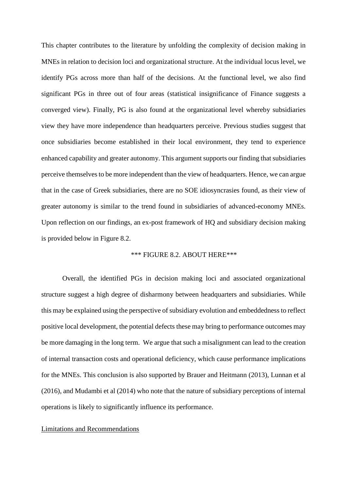This chapter contributes to the literature by unfolding the complexity of decision making in MNEs in relation to decision loci and organizational structure. At the individual locus level, we identify PGs across more than half of the decisions. At the functional level, we also find significant PGs in three out of four areas (statistical insignificance of Finance suggests a converged view). Finally, PG is also found at the organizational level whereby subsidiaries view they have more independence than headquarters perceive. Previous studies suggest that once subsidiaries become established in their local environment, they tend to experience enhanced capability and greater autonomy. This argument supports our finding that subsidiaries perceive themselves to be more independent than the view of headquarters. Hence, we can argue that in the case of Greek subsidiaries, there are no SOE idiosyncrasies found, as their view of greater autonomy is similar to the trend found in subsidiaries of advanced-economy MNEs. Upon reflection on our findings, an ex-post framework of HQ and subsidiary decision making is provided below in Figure 8.2.

#### \*\*\* FIGURE 8.2. ABOUT HERE\*\*\*

Overall, the identified PGs in decision making loci and associated organizational structure suggest a high degree of disharmony between headquarters and subsidiaries. While this may be explained using the perspective of subsidiary evolution and embeddedness to reflect positive local development, the potential defects these may bring to performance outcomes may be more damaging in the long term. We argue that such a misalignment can lead to the creation of internal transaction costs and operational deficiency, which cause performance implications for the MNEs. This conclusion is also supported by Brauer and Heitmann (2013), Lunnan et al (2016), and Mudambi et al (2014) who note that the nature of subsidiary perceptions of internal operations is likely to significantly influence its performance.

#### Limitations and Recommendations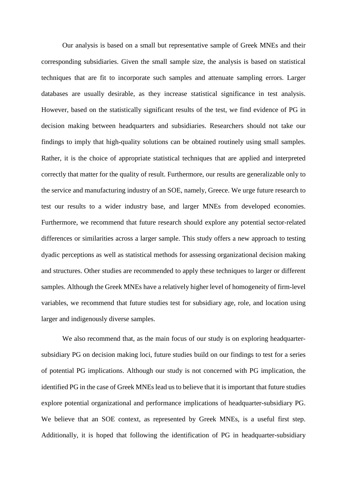Our analysis is based on a small but representative sample of Greek MNEs and their corresponding subsidiaries. Given the small sample size, the analysis is based on statistical techniques that are fit to incorporate such samples and attenuate sampling errors. Larger databases are usually desirable, as they increase statistical significance in test analysis. However, based on the statistically significant results of the test, we find evidence of PG in decision making between headquarters and subsidiaries. Researchers should not take our findings to imply that high-quality solutions can be obtained routinely using small samples. Rather, it is the choice of appropriate statistical techniques that are applied and interpreted correctly that matter for the quality of result. Furthermore, our results are generalizable only to the service and manufacturing industry of an SOE, namely, Greece. We urge future research to test our results to a wider industry base, and larger MNEs from developed economies. Furthermore, we recommend that future research should explore any potential sector-related differences or similarities across a larger sample. This study offers a new approach to testing dyadic perceptions as well as statistical methods for assessing organizational decision making and structures. Other studies are recommended to apply these techniques to larger or different samples. Although the Greek MNEs have a relatively higher level of homogeneity of firm-level variables, we recommend that future studies test for subsidiary age, role, and location using larger and indigenously diverse samples.

We also recommend that, as the main focus of our study is on exploring headquartersubsidiary PG on decision making loci, future studies build on our findings to test for a series of potential PG implications. Although our study is not concerned with PG implication, the identified PG in the case of Greek MNEs lead us to believe that it is important that future studies explore potential organizational and performance implications of headquarter-subsidiary PG. We believe that an SOE context, as represented by Greek MNEs, is a useful first step. Additionally, it is hoped that following the identification of PG in headquarter-subsidiary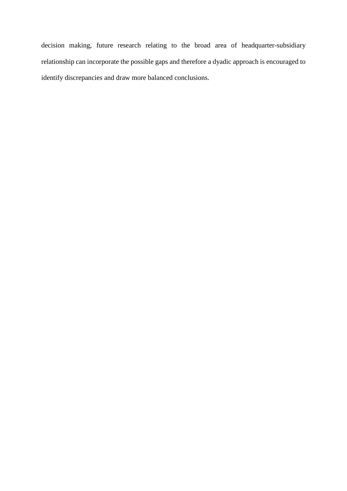decision making, future research relating to the broad area of headquarter-subsidiary relationship can incorporate the possible gaps and therefore a dyadic approach is encouraged to identify discrepancies and draw more balanced conclusions.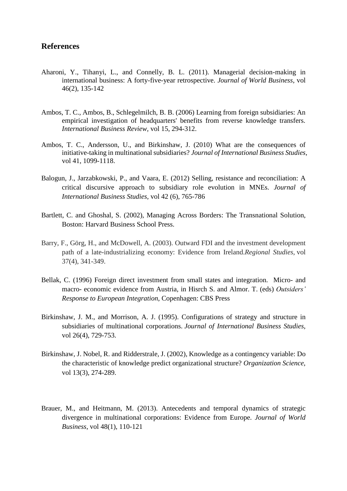# **References**

- Aharoni, Y., Tihanyi, L., and Connelly, B. L. (2011). Managerial decision-making in international business: A forty-five-year retrospective. *Journal of World Business*, vol 46(2), 135-142
- Ambos, T. C., Ambos, B., Schlegelmilch, B. B. (2006) Learning from foreign subsidiaries: An empirical investigation of headquarters' benefits from reverse knowledge transfers. *International Business Review,* vol 15, 294-312.
- Ambos, T. C., Andersson, U., and Birkinshaw, J. (2010) What are the consequences of initiative-taking in multinational subsidiaries? *Journal of International Business Studies*, vol 41, 1099-1118.
- Balogun, J., Jarzabkowski, P., and Vaara, E. (2012) Selling, resistance and reconciliation: A critical discursive approach to subsidiary role evolution in MNEs. *Journal of International Business Studies,* vol 42 (6), 765-786
- Bartlett, C. and Ghoshal, S. (2002), Managing Across Borders: The Transnational Solution, Boston: Harvard Business School Press.
- Barry, F., Görg, H., and McDowell, A. (2003). Outward FDI and the investment development path of a late-industrializing economy: Evidence from Ireland.*Regional Studies*, vol 37(4), 341-349.
- Bellak, C. (1996) Foreign direct investment from small states and integration. Micro- and macro- economic evidence from Austria, in Hisrch S. and Almor. T. (eds) *Outsiders' Response to European Integration*, Copenhagen: CBS Press
- Birkinshaw, J. M., and Morrison, A. J. (1995). Configurations of strategy and structure in subsidiaries of multinational corporations. *Journal of International Business Studies*, vol 26(4), 729-753.
- Birkinshaw, J. Nobel, R. and Ridderstrale, J. (2002), Knowledge as a contingency variable: Do the characteristic of knowledge predict organizational structure? *Organization Science*, vol 13(3), 274-289.
- Brauer, M., and Heitmann, M. (2013). Antecedents and temporal dynamics of strategic divergence in multinational corporations: Evidence from Europe. *Journal of World Business*, vol 48(1), 110-121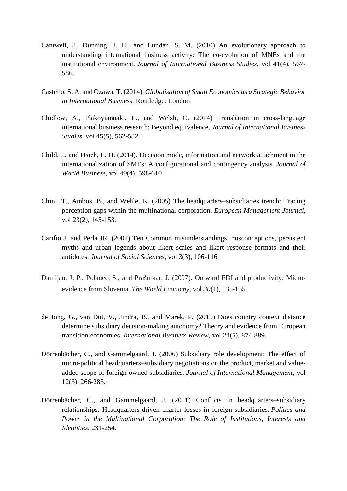- Cantwell, J., Dunning, J. H., and Lundan, S. M. (2010) An evolutionary approach to understanding international business activity: The co-evolution of MNEs and the institutional environment. *Journal of International Business Studies*, vol 41(4), 567- 586.
- Castello, S. A. and Ozawa, T. (2014) *Globalisation of Small Economics as a Strategic Behavior in International Business*, Routledge: London
- Chidlow, A., Plakoyiannaki, E., and Welsh, C. (2014) Translation in cross-language international business research: Beyond equivalence, *Journal of International Business Studies*, vol 45(5), 562-582
- Child, J., and Hsieh, L. H. (2014). Decision mode, information and network attachment in the internationalization of SMEs: A configurational and contingency analysis. *Journal of World Business*, vol 49(4), 598-610
- Chini, T., Ambos, B., and Wehle, K. (2005) The headquarters–subsidiaries trench: Tracing perception gaps within the multinational corporation. *European Management Journal*, vol 23(2), 145-153.
- Carifio J. and Perla JR. (2007) Ten Common misunderstandings, misconceptions, persistent myths and urban legends about likert scales and likert response formats and their antidotes. *Journal of Social Sciences,* vol 3(3), 106-116
- Damijan, J. P., Polanec, S., and Prašnikar, J. (2007). Outward FDI and productivity: Microevidence from Slovenia. *The World Economy*, vol *30*(1), 135-155.
- de Jong, G., van Dut, V., Jindra, B., and Marek, P. (2015) Does country context distance determine subsidiary decision-making autonomy? Theory and evidence from European transition economies. *International Business Review*, vol 24(5), 874-889.
- Dörrenbächer, C., and Gammelgaard, J. (2006) Subsidiary role development: The effect of micro-political headquarters–subsidiary negotiations on the product, market and valueadded scope of foreign-owned subsidiaries. *Journal of International Management*, vol 12(3), 266-283.
- Dörrenbächer, C., and Gammelgaard, J. (2011) Conflicts in headquarters–subsidiary relationships: Headquarters-driven charter losses in foreign subsidiaries. *Politics and Power in the Multinational Corporation: The Role of Institutions, Interests and Identities*, 231-254.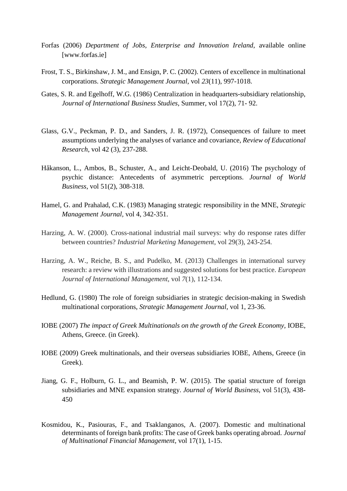- Forfas (2006) *Department of Jobs, Enterprise and Innovation Ireland*, available online [www.forfas.ie]
- Frost, T. S., Birkinshaw, J. M., and Ensign, P. C. (2002). Centers of excellence in multinational corporations. *Strategic Management Journal*, vol *23*(11), 997-1018.
- Gates, S. R. and Egelhoff, W.G. (1986) Centralization in headquarters-subsidiary relationship, *Journal of International Business Studies*, Summer, vol 17(2), 71- 92.
- Glass, G.V., Peckman, P. D., and Sanders, J. R. (1972), Consequences of failure to meet assumptions underlying the analyses of variance and covariance, *Review of Educational Research*, vol 42 (3), 237-288.
- Håkanson, L., Ambos, B., Schuster, A., and Leicht-Deobald, U. (2016) The psychology of psychic distance: Antecedents of asymmetric perceptions. *Journal of World Business*, vol 51(2), 308-318.
- Hamel, G. and Prahalad, C.K. (1983) Managing strategic responsibility in the MNE, *Strategic Management Journal,* vol 4, 342-351.
- Harzing, A. W. (2000). Cross-national industrial mail surveys: why do response rates differ between countries? *Industrial Marketing Management*, vol 29(3), 243-254.
- Harzing, A. W., Reiche, B. S., and Pudelko, M. (2013) Challenges in international survey research: a review with illustrations and suggested solutions for best practice. *European Journal of International Management*, vol *7*(1), 112-134.
- Hedlund, G. (1980) The role of foreign subsidiaries in strategic decision-making in Swedish multinational corporations, *Strategic Management Journal*, vol 1, 23-36.
- IOBE (2007) *The impact of Greek Multinationals on the growth of the Greek Economy,* IOBE, Athens, Greece. (in Greek).
- IOBE (2009) Greek multinationals, and their overseas subsidiaries IOBE, Athens, Greece (in Greek).
- Jiang, G. F., Holburn, G. L., and Beamish, P. W. (2015). The spatial structure of foreign subsidiaries and MNE expansion strategy. *Journal of World Business*, vol 51(3), 438- 450
- Kosmidou, K., Pasiouras, F., and Tsaklanganos, A. (2007). Domestic and multinational determinants of foreign bank profits: The case of Greek banks operating abroad. *Journal of Multinational Financial Management*, vol 17(1), 1-15.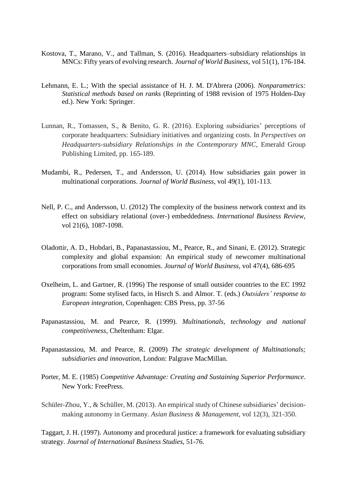- Kostova, T., Marano, V., and Tallman, S. (2016). Headquarters–subsidiary relationships in MNCs: Fifty years of evolving research. *Journal of World Business*, vol 51(1), 176-184.
- Lehmann, E. L.; With the special assistance of H. J. M. D'Abrera (2006). *Nonparametrics: Statistical methods based on ranks* (Reprinting of 1988 revision of 1975 Holden-Day ed.). New York: Springer.
- Lunnan, R., Tomassen, S., & Benito, G. R. (2016). Exploring subsidiaries' perceptions of corporate headquarters: Subsidiary initiatives and organizing costs. In *Perspectives on Headquarters-subsidiary Relationships in the Contemporary MNC*, Emerald Group Publishing Limited, pp. 165-189.
- Mudambi, R., Pedersen, T., and Andersson, U. (2014). How subsidiaries gain power in multinational corporations. *Journal of World Business*, vol 49(1), 101-113.
- Nell, P. C., and Andersson, U. (2012) The complexity of the business network context and its effect on subsidiary relational (over-) embeddedness. *International Business Review*, vol 21(6), 1087-1098.
- Oladottir, A. D., Hobdari, B., Papanastassiou, M., Pearce, R., and Sinani, E. (2012). Strategic complexity and global expansion: An empirical study of newcomer multinational corporations from small economies. *Journal of World Business*, vol 47(4), 686-695
- Oxelheim, L. and Gartner, R. (1996) The response of small outsider countries to the EC 1992 program: Some stylised facts, in Hisrch S. and Almor. T. (eds.) *Outsiders' response to European integration*, Copenhagen: CBS Press, pp. 37-56
- Papanastassiou, M. and Pearce, R. (1999). *Multinationals, technology and national competitiveness*, Cheltenham: Elgar.
- Papanastassiou, M. and Pearce, R. (2009) *The strategic development of Multinationals; subsidiaries and innovation*, London: Palgrave MacMillan.
- Porter, M. E. (1985) *Competitive Advantage: Creating and Sustaining Superior Performance*. New York: FreePress.
- Schüler-Zhou, Y., & Schüller, M. (2013). An empirical study of Chinese subsidiaries' decisionmaking autonomy in Germany. *Asian Business & Management*, vol 12(3), 321-350.

Taggart, J. H. (1997). Autonomy and procedural justice: a framework for evaluating subsidiary strategy. *Journal of International Business Studies*, 51-76.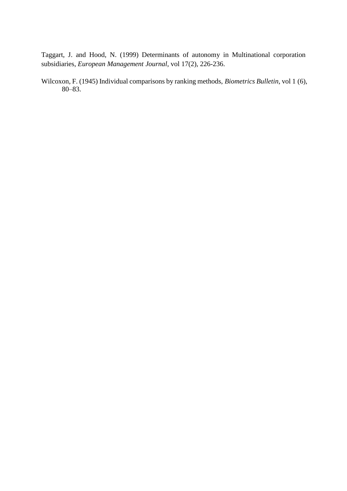Taggart, J. and Hood, N. (1999) Determinants of autonomy in Multinational corporation subsidiaries, *European Management Journal*, vol 17(2), 226-236.

Wilcoxon, F. (1945) Individual comparisons by ranking methods, *Biometrics Bulletin*, vol 1 (6), 80–83.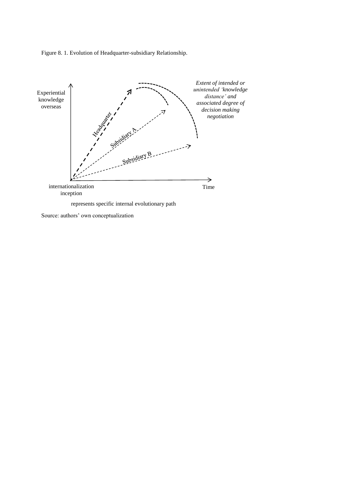Figure 8. 1. Evolution of Headquarter-subsidiary Relationship.



Source: authors' own conceptualization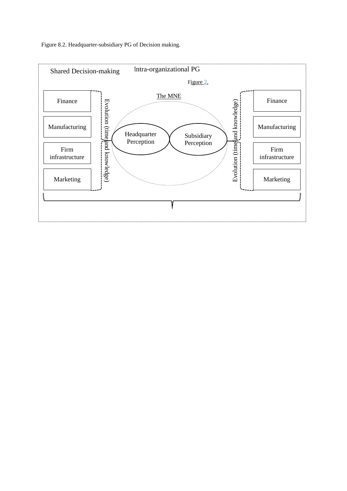Figure 8.2. Headquarter-subsidiary PG of Decision making.

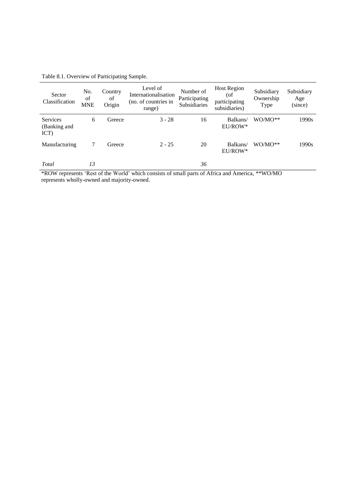| Sector<br>Classification         | No.<br>of<br><b>MNE</b> | Country<br>of<br>Origin | Level of<br>Internationalisation<br>(no. of countries in<br>range) | Number of<br>Participating<br>Subsidiaries | <b>Host Region</b><br>(of<br>participating<br>subsidiaries) | Subsidiary<br>Ownership<br>Type | Subsidiary<br>Age<br>(since) |
|----------------------------------|-------------------------|-------------------------|--------------------------------------------------------------------|--------------------------------------------|-------------------------------------------------------------|---------------------------------|------------------------------|
| Services<br>(Banking and<br>ICT) | 6                       | Greece                  | $3 - 28$                                                           | 16                                         | Balkans/<br>EU/ROW*                                         | $WO/MO**$                       | 1990s                        |
| Manufacturing                    | 7                       | Greece                  | $2 - 25$                                                           | 20                                         | Balkans/<br>EU/ROW*                                         | $WO/MO**$                       | 1990s                        |
| Total                            | 13                      |                         |                                                                    | 36                                         |                                                             |                                 |                              |

Table 8.1. Overview of Participating Sample.

\*ROW represents 'Rest of the World' which consists of small parts of Africa and America, \*\*WO/MO represents wholly-owned and majority-owned.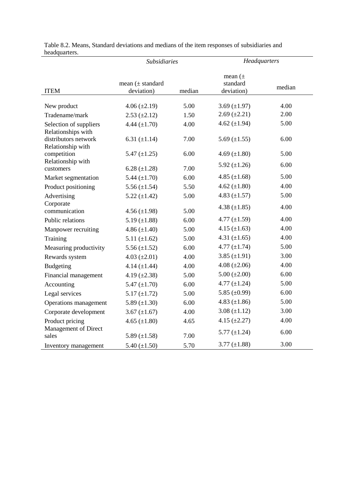|                                  | <b>Subsidiaries</b>                |        | Headquarters                       |        |
|----------------------------------|------------------------------------|--------|------------------------------------|--------|
| <b>ITEM</b>                      | mean $(\pm$ standard<br>deviation) | median | mean $($<br>standard<br>deviation) | median |
| New product                      | 4.06 $(\pm 2.19)$                  | 5.00   | 3.69 $(\pm 1.97)$                  | 4.00   |
| Tradename/mark                   | $2.53 \ (\pm 2.12)$                | 1.50   | $2.69 \ (\pm 2.21)$                | 2.00   |
| Selection of suppliers           | 4.44 $(\pm 1.70)$                  | 4.00   | 4.62 $(\pm 1.94)$                  | 5.00   |
| Relationships with               |                                    |        |                                    |        |
| distributors network             | 6.31 $(\pm 1.14)$                  | 7.00   | 5.69 $(\pm 1.55)$                  | 6.00   |
| Relationship with<br>competition | 5.47 $(\pm 1.25)$                  | 6.00   | 4.69 $(\pm 1.80)$                  | 5.00   |
| Relationship with                |                                    |        |                                    | 6.00   |
| customers                        | 6.28 $(\pm 1.28)$                  | 7.00   | 5.92 $(\pm 1.26)$                  |        |
| Market segmentation              | 5.44 $(\pm 1.70)$                  | 6.00   | 4.85 $(\pm 1.68)$                  | 5.00   |
| Product positioning              | 5.56 $(\pm 1.54)$                  | 5.50   | 4.62 $(\pm 1.80)$                  | 4.00   |
| Advertising                      | 5.22 $(\pm 1.42)$                  | 5.00   | 4.83 $(\pm 1.57)$                  | 5.00   |
| Corporate<br>communication       | 4.56 $(\pm 1.98)$                  | 5.00   | 4.38 $(\pm 1.85)$                  | 4.00   |
| Public relations                 | 5.19 $(\pm 1.88)$                  | 6.00   | 4.77 $(\pm 1.59)$                  | 4.00   |
| Manpower recruiting              | 4.86 $(\pm 1.40)$                  | 5.00   | 4.15 $(\pm 1.63)$                  | 4.00   |
| Training                         | 5.11 $(\pm 1.62)$                  | 5.00   | 4.31 $(\pm 1.65)$                  | 4.00   |
| Measuring productivity           | 5.56 $(\pm 1.52)$                  | 6.00   | 4.77 $(\pm 1.74)$                  | 5.00   |
| Rewards system                   | 4.03 $(\pm 2.01)$                  | 4.00   | 3.85 $(\pm 1.91)$                  | 3.00   |
| <b>Budgeting</b>                 | 4.14 $(\pm 1.44)$                  | 4.00   | $4.08 (\pm 2.06)$                  | 4.00   |
| Financial management             | 4.19 $(\pm 2.38)$                  | 5.00   | $5.00 (\pm 2.00)$                  | 6.00   |
| Accounting                       | 5.47 $(\pm 1.70)$                  | 6.00   | 4.77 $(\pm 1.24)$                  | 5.00   |
| Legal services                   | $5.17 (\pm 1.72)$                  | 5.00   | 5.85 $(\pm 0.99)$                  | 6.00   |
| Operations management            | 5.89 $(\pm 1.30)$                  | 6.00   | 4.83 $(\pm 1.86)$                  | 5.00   |
| Corporate development            | 3.67 $(\pm 1.67)$                  | 4.00   | 3.08 $(\pm 1.12)$                  | 3.00   |
| Product pricing                  | 4.65 $(\pm 1.80)$                  | 4.65   | 4.15 $(\pm 2.27)$                  | 4.00   |
| Management of Direct<br>sales    | 5.89 $(\pm 1.58)$                  | 7.00   | 5.77 $(\pm 1.24)$                  | 6.00   |
| Inventory management             | 5.40 $(\pm 1.50)$                  | 5.70   | 3.77 $(\pm 1.88)$                  | 3.00   |

Table 8.2. Means, Standard deviations and medians of the item responses of subsidiaries and headquarters.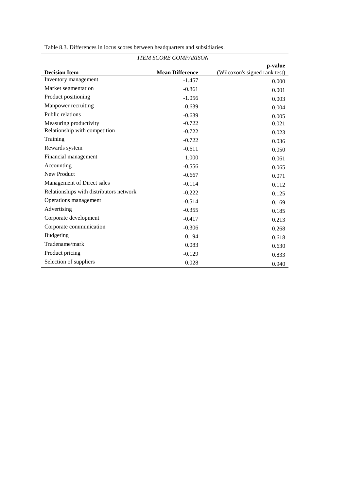|                                         | <b>ITEM SCORE COMPARISON</b> |                                          |
|-----------------------------------------|------------------------------|------------------------------------------|
| <b>Decision Item</b>                    | <b>Mean Difference</b>       | p-value<br>(Wilcoxon's signed rank test) |
| Inventory management                    | $-1.457$                     | 0.000                                    |
| Market segmentation                     | $-0.861$                     | 0.001                                    |
| Product positioning                     | $-1.056$                     | 0.003                                    |
| Manpower recruiting                     | $-0.639$                     | 0.004                                    |
| Public relations                        | $-0.639$                     | 0.005                                    |
| Measuring productivity                  | $-0.722$                     | 0.021                                    |
| Relationship with competition           | $-0.722$                     | 0.023                                    |
| Training                                | $-0.722$                     | 0.036                                    |
| Rewards system                          | $-0.611$                     | 0.050                                    |
| Financial management                    | 1.000                        | 0.061                                    |
| Accounting                              | $-0.556$                     | 0.065                                    |
| <b>New Product</b>                      | $-0.667$                     | 0.071                                    |
| Management of Direct sales              | $-0.114$                     | 0.112                                    |
| Relationships with distributors network | $-0.222$                     | 0.125                                    |
| Operations management                   | $-0.514$                     | 0.169                                    |
| Advertising                             | $-0.355$                     | 0.185                                    |
| Corporate development                   | $-0.417$                     | 0.213                                    |
| Corporate communication                 | $-0.306$                     | 0.268                                    |
| <b>Budgeting</b>                        | $-0.194$                     | 0.618                                    |
| Tradename/mark                          | 0.083                        | 0.630                                    |
| Product pricing                         | $-0.129$                     | 0.833                                    |
| Selection of suppliers                  | 0.028                        | 0.940                                    |

Table 8.3. Differences in locus scores between headquarters and subsidiaries.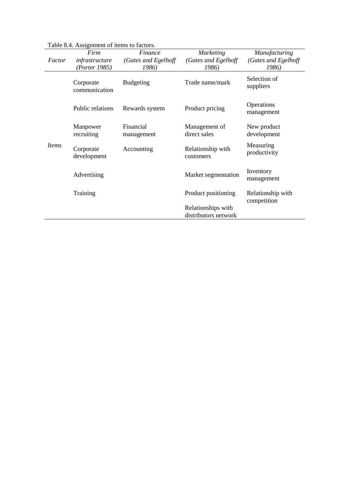|              | Firm                       | <b>Finance</b>                      | <b>Marketing</b>               | Manufacturing                    |  |
|--------------|----------------------------|-------------------------------------|--------------------------------|----------------------------------|--|
| Factor       | infrastructure             | (Gates and Egelhoff                 | (Gates and Egelhoff            | (Gates and Egelhoff              |  |
|              | (Porter 1985)              | 1986)                               | 1986)                          | 1986)                            |  |
| <b>Items</b> | Corporate<br>communication | <b>Budgeting</b><br>Trade name/mark |                                | Selection of<br>suppliers        |  |
|              | Public relations           | Rewards system                      | Product pricing                | Operations<br>management         |  |
|              | Manpower<br>recruiting     | Financial<br>management             | Management of<br>direct sales  | New product<br>development       |  |
|              | Corporate<br>development   | Accounting                          | Relationship with<br>customers | Measuring<br>productivity        |  |
|              | Advertising                |                                     | Market segmentation            | Inventory<br>management          |  |
|              | Training                   |                                     | Product positioning            | Relationship with<br>competition |  |
|              |                            |                                     | Relationships with             |                                  |  |
|              |                            |                                     | distributors network           |                                  |  |

Table 8.4. Assignment of items to factors.